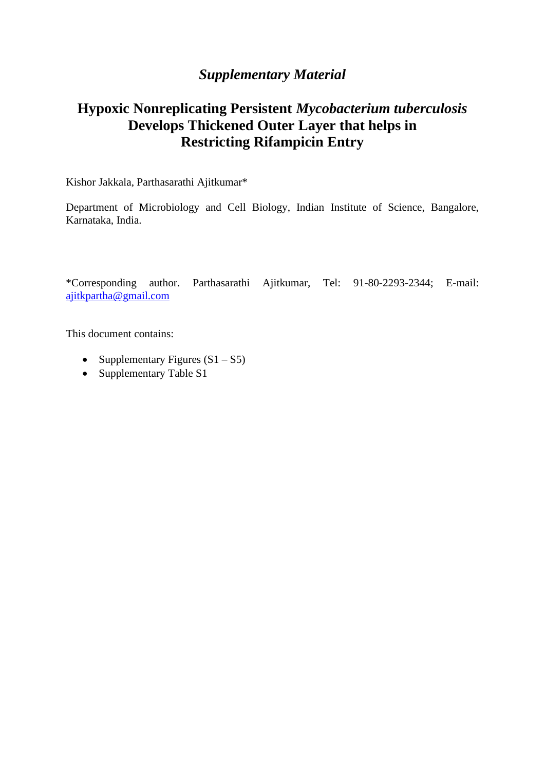## *Supplementary Material*

## **Hypoxic Nonreplicating Persistent** *Mycobacterium tuberculosis* **Develops Thickened Outer Layer that helps in Restricting Rifampicin Entry**

Kishor Jakkala, Parthasarathi Ajitkumar\*

Department of Microbiology and Cell Biology, Indian Institute of Science, Bangalore, Karnataka, India.

\*Corresponding author. Parthasarathi Ajitkumar, Tel: 91-80-2293-2344; E-mail: [ajitkpartha@gmail.com](mailto:ajitkpartha@gmail.com)

This document contains:

- Supplementary Figures  $(S1 S5)$
- Supplementary Table S1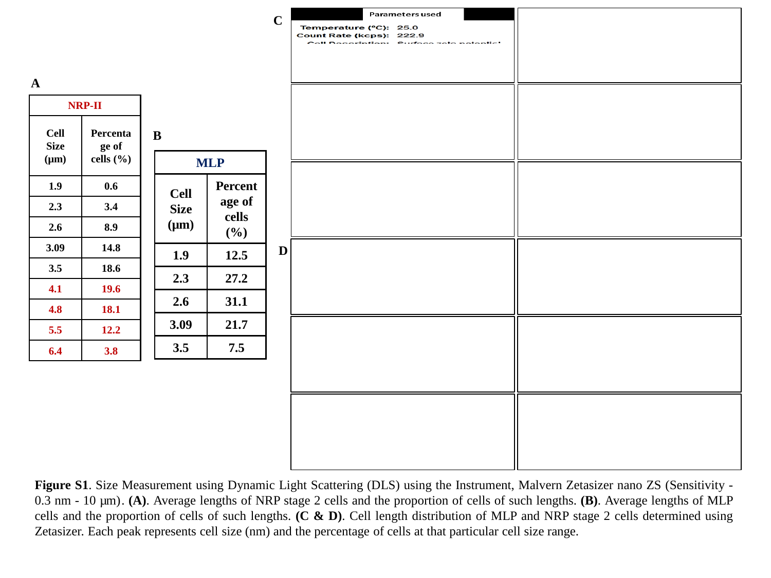

**Figure S1**. Size Measurement using Dynamic Light Scattering (DLS) using the Instrument, Malvern Zetasizer nano ZS (Sensitivity - 0.3 nm - 10 µm). **(A)**. Average lengths of NRP stage 2 cells and the proportion of cells of such lengths. **(B)**. Average lengths of MLP cells and the proportion of cells of such lengths. **(C & D)**. Cell length distribution of MLP and NRP stage 2 cells determined using Zetasizer. Each peak represents cell size (nm) and the percentage of cells at that particular cell size range.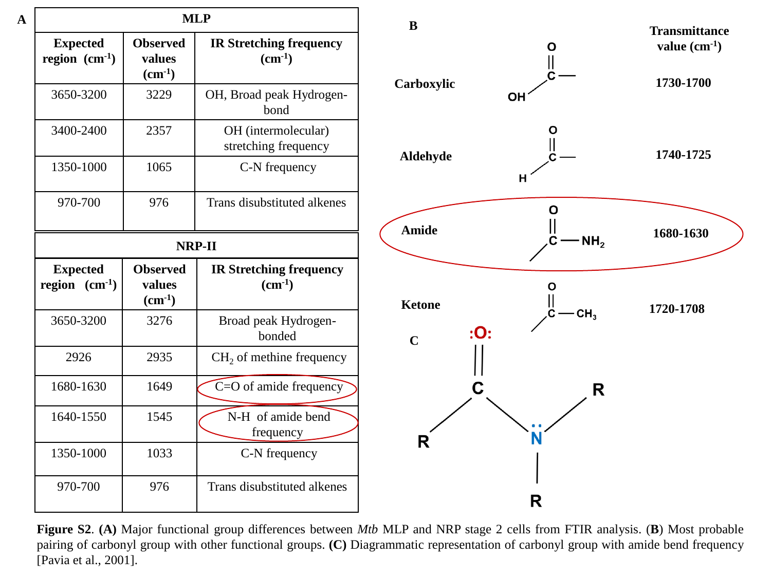| <b>MLP</b>                            |                                                 |                                                      |  |  |
|---------------------------------------|-------------------------------------------------|------------------------------------------------------|--|--|
| <b>Expected</b><br>region $(cm^{-1})$ | <b>Observed</b><br>values<br>$(cm-1)$           | <b>IR Stretching frequency</b><br>$\text{(cm}^{-1})$ |  |  |
| 3650-3200                             | 3229                                            | OH, Broad peak Hydrogen-<br>bond                     |  |  |
| 3400-2400                             | 2357                                            | OH (intermolecular)<br>stretching frequency          |  |  |
| 1350-1000                             | 1065                                            | C-N frequency                                        |  |  |
| 970-700                               | 976                                             | Trans disubstituted alkenes                          |  |  |
| NRP-II                                |                                                 |                                                      |  |  |
| <b>Expected</b><br>region $(cm^{-1})$ | <b>Observed</b><br>values<br>$\text{(cm}^{-1})$ | <b>IR Stretching frequency</b><br>$(cm-1)$           |  |  |
| 3650-3200                             | 3276                                            | Broad peak Hydrogen-<br>bonded                       |  |  |
| 2926                                  | 2935                                            | CH <sub>2</sub> of methine frequency                 |  |  |
| 1680-1630                             | 1649                                            | $C = O$ of amide frequency                           |  |  |
| 1640-1550                             | 1545                                            | N-H of amide bend<br>frequency                       |  |  |
| 1350-1000                             | 1033                                            | C-N frequency                                        |  |  |
| 970-700                               | 976                                             | Trans disubstituted alkenes                          |  |  |

**A**



**Figure S2**. **(A)** Major functional group differences between *Mtb* MLP and NRP stage 2 cells from FTIR analysis. (**B**) Most probable pairing of carbonyl group with other functional groups. **(C)** Diagrammatic representation of carbonyl group with amide bend frequency [Pavia et al., 2001].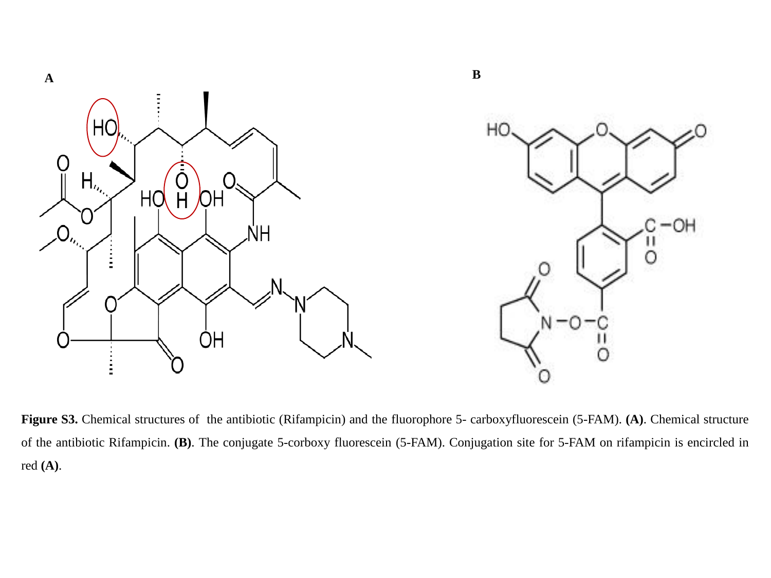

**Figure S3.** Chemical structures of the antibiotic (Rifampicin) and the fluorophore 5- carboxyfluorescein (5-FAM). **(A)**. Chemical structure of the antibiotic Rifampicin. **(B)**. The conjugate 5-corboxy fluorescein (5-FAM). Conjugation site for 5-FAM on rifampicin is encircled in red **(A)**.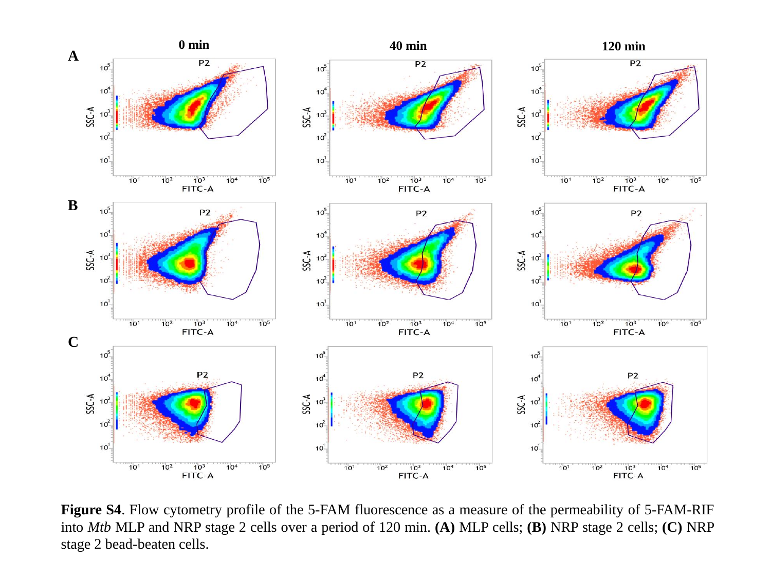

**Figure S4**. Flow cytometry profile of the 5-FAM fluorescence as a measure of the permeability of 5-FAM-RIF into *Mtb* MLP and NRP stage 2 cells over a period of 120 min. **(A)** MLP cells; **(B)** NRP stage 2 cells; **(C)** NRP stage 2 bead-beaten cells.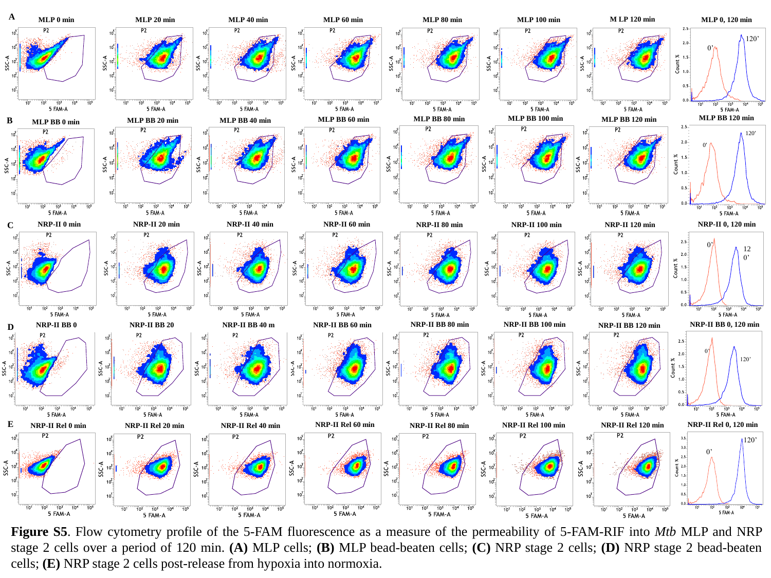

**Figure S5**. Flow cytometry profile of the 5-FAM fluorescence as a measure of the permeability of 5-FAM-RIF into *Mtb* MLP and NRP stage 2 cells over a period of 120 min. **(A)** MLP cells; **(B)** MLP bead-beaten cells; **(C)** NRP stage 2 cells; **(D)** NRP stage 2 bead-beaten cells; **(E)** NRP stage 2 cells post-release from hypoxia into normoxia.